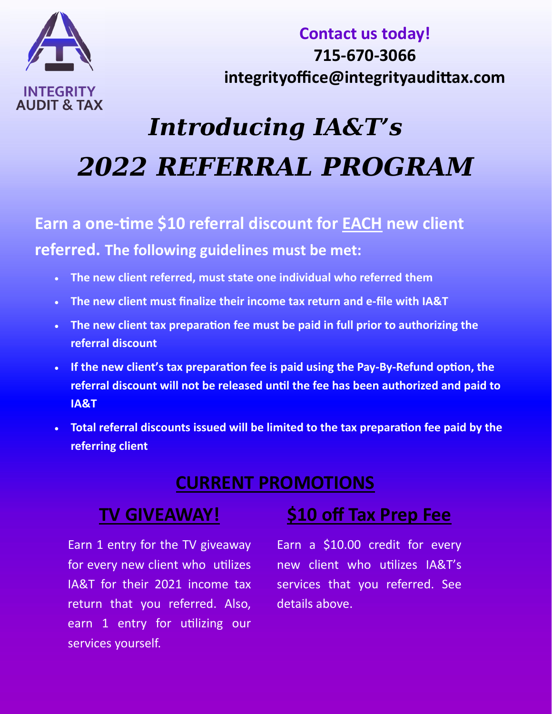

**Contact us today! 715‐670‐3066 integrityoffice@integrityaudiƩax.com**

## *Introducing IA&T's 2022 REFERRAL PROGRAM*

**Earn** a one-time \$10 referral discount for **EACH** new client **referred. The following guidelines must be met:**

- **The new client referred, must state one individual who referred them**
- **The new client must finalize their income tax return and e‐file with IA&T**
- **The new client tax preparaƟon fee must be paid in full prior to authorizing the referral discount**
- If the new client's tax preparation fee is paid using the Pay-By-Refund option, the **referral discount will not be released unƟl the fee has been authorized and paid to IA&T**
- **Total referral discounts issued will be limited to the tax preparaƟon fee paid by the referring client**

### **CURRENT PROMOTIONS**

### **TV GIVEAWAY!**

Earn 1 entry for the TV giveaway for every new client who utilizes IA&T for their 2021 income tax return that you referred. Also, earn 1 entry for utilizing our services yourself.

### **\$10 off Tax Prep Fee**

Earn a \$10.00 credit for every new client who utilizes IA&T's services that you referred. See details above.